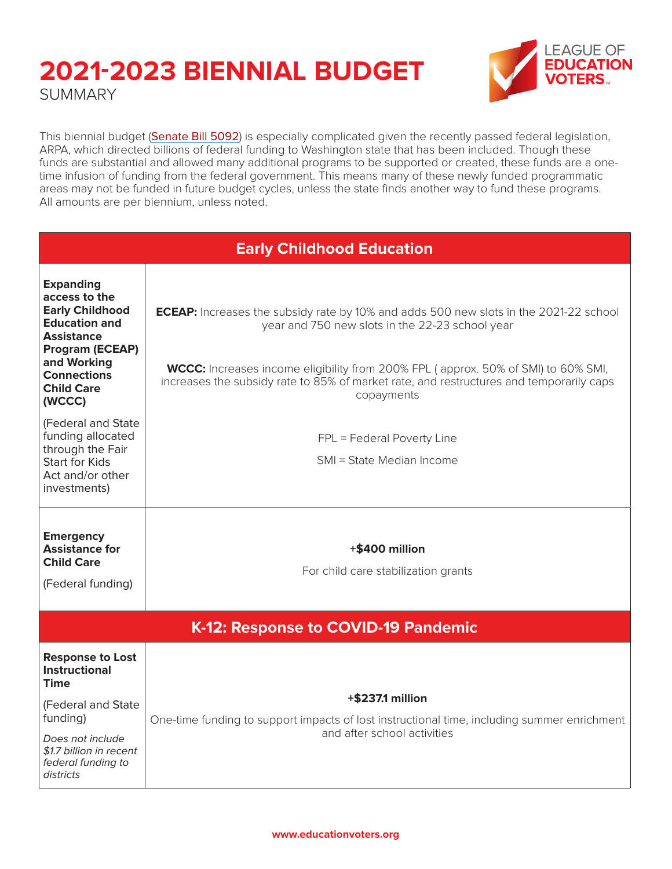### **2021-2023 BIENNIAL BUDGET SUMMARY**



This biennial budget ([Senate Bill 5092](https://app.leg.wa.gov/billsummary?BillNumber=5092&Year=2021&Initiative=false)) is especially complicated given the recently passed federal legislation, ARPA, which directed billions of federal funding to Washington state that has been included. Though these funds are substantial and allowed many additional programs to be supported or created, these funds are a onetime infusion of funding from the federal government. This means many of these newly funded programmatic areas may not be funded in future budget cycles, unless the state finds another way to fund these programs. All amounts are per biennium, unless noted.

| <b>Early Childhood Education</b>                                                                                                                                                                |                                                                                                                                                                                                                                                                                                                                                      |  |
|-------------------------------------------------------------------------------------------------------------------------------------------------------------------------------------------------|------------------------------------------------------------------------------------------------------------------------------------------------------------------------------------------------------------------------------------------------------------------------------------------------------------------------------------------------------|--|
| <b>Expanding</b><br>access to the<br><b>Early Childhood</b><br><b>Education and</b><br><b>Assistance</b><br>Program (ECEAP)<br>and Working<br><b>Connections</b><br><b>Child Care</b><br>(WCCC) | <b>ECEAP:</b> Increases the subsidy rate by 10% and adds 500 new slots in the 2021-22 school<br>year and 750 new slots in the 22-23 school year<br><b>WCCC:</b> Increases income eligibility from 200% FPL (approx. 50% of SMI) to 60% SMI,<br>increases the subsidy rate to 85% of market rate, and restructures and temporarily caps<br>copayments |  |
| (Federal and State<br>funding allocated<br>through the Fair<br><b>Start for Kids</b><br>Act and/or other<br>investments)                                                                        | FPL = Federal Poverty Line<br>SMI = State Median Income                                                                                                                                                                                                                                                                                              |  |
| <b>Emergency</b><br><b>Assistance for</b><br><b>Child Care</b><br>(Federal funding)                                                                                                             | +\$400 million<br>For child care stabilization grants                                                                                                                                                                                                                                                                                                |  |
| K-12: Response to COVID-19 Pandemic                                                                                                                                                             |                                                                                                                                                                                                                                                                                                                                                      |  |
| <b>Response to Lost</b><br><b>Instructional</b><br>Time                                                                                                                                         |                                                                                                                                                                                                                                                                                                                                                      |  |
| (Federal and State<br>funding)<br>Does not include<br>\$1.7 billion in recent<br>federal funding to<br>districts                                                                                | +\$237.1 million<br>One-time funding to support impacts of lost instructional time, including summer enrichment<br>and after school activities                                                                                                                                                                                                       |  |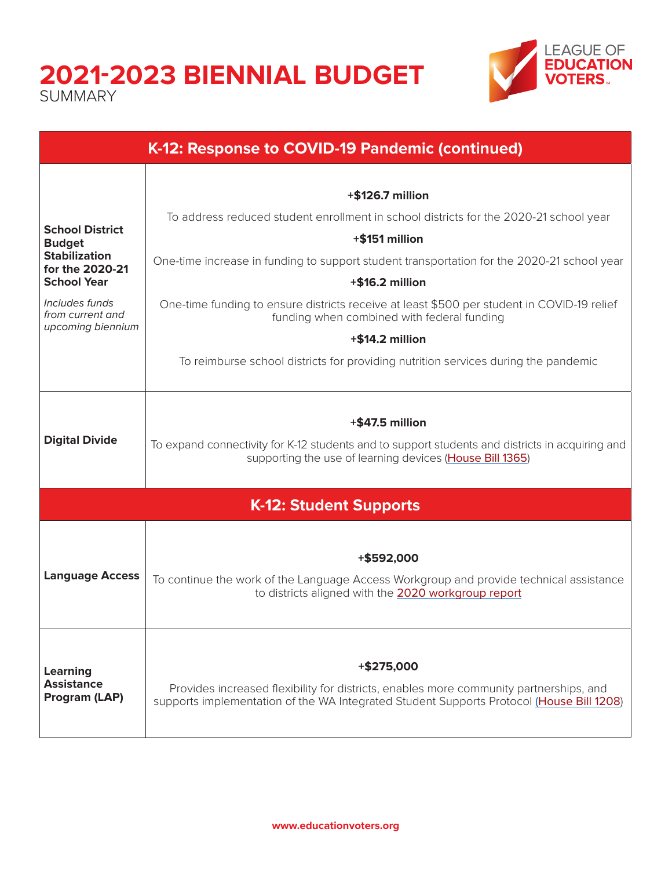### **2021-2023 BIENNIAL BUDGET** SUMMARY



| K-12: Response to COVID-19 Pandemic (continued)         |                                                                                                                                                             |  |
|---------------------------------------------------------|-------------------------------------------------------------------------------------------------------------------------------------------------------------|--|
|                                                         |                                                                                                                                                             |  |
|                                                         | $+$ \$126.7 million                                                                                                                                         |  |
|                                                         | To address reduced student enrollment in school districts for the 2020-21 school year                                                                       |  |
| <b>School District</b><br><b>Budget</b>                 | +\$151 million                                                                                                                                              |  |
| <b>Stabilization</b><br>for the 2020-21                 | One-time increase in funding to support student transportation for the 2020-21 school year                                                                  |  |
| <b>School Year</b>                                      | $+$ \$16.2 million                                                                                                                                          |  |
| Includes funds<br>from current and<br>upcoming biennium | One-time funding to ensure districts receive at least \$500 per student in COVID-19 relief<br>funding when combined with federal funding                    |  |
|                                                         | +\$14.2 million                                                                                                                                             |  |
|                                                         | To reimburse school districts for providing nutrition services during the pandemic                                                                          |  |
|                                                         |                                                                                                                                                             |  |
|                                                         |                                                                                                                                                             |  |
| <b>Digital Divide</b>                                   | +\$47.5 million                                                                                                                                             |  |
|                                                         | To expand connectivity for K-12 students and to support students and districts in acquiring and<br>supporting the use of learning devices (House Bill 1365) |  |
|                                                         |                                                                                                                                                             |  |
|                                                         | <b>K-12: Student Supports</b>                                                                                                                               |  |
|                                                         |                                                                                                                                                             |  |
|                                                         | +\$592,000                                                                                                                                                  |  |
| <b>Language Access</b>                                  | To continue the work of the Language Access Workgroup and provide technical assistance                                                                      |  |
|                                                         | to districts aligned with the 2020 workgroup report                                                                                                         |  |
|                                                         |                                                                                                                                                             |  |
|                                                         |                                                                                                                                                             |  |
| Learning<br><b>Assistance</b><br>Program (LAP)          | $+$ \$275,000                                                                                                                                               |  |
|                                                         | Provides increased flexibility for districts, enables more community partnerships, and                                                                      |  |
|                                                         | supports implementation of the WA Integrated Student Supports Protocol (House Bill 1208)                                                                    |  |
|                                                         |                                                                                                                                                             |  |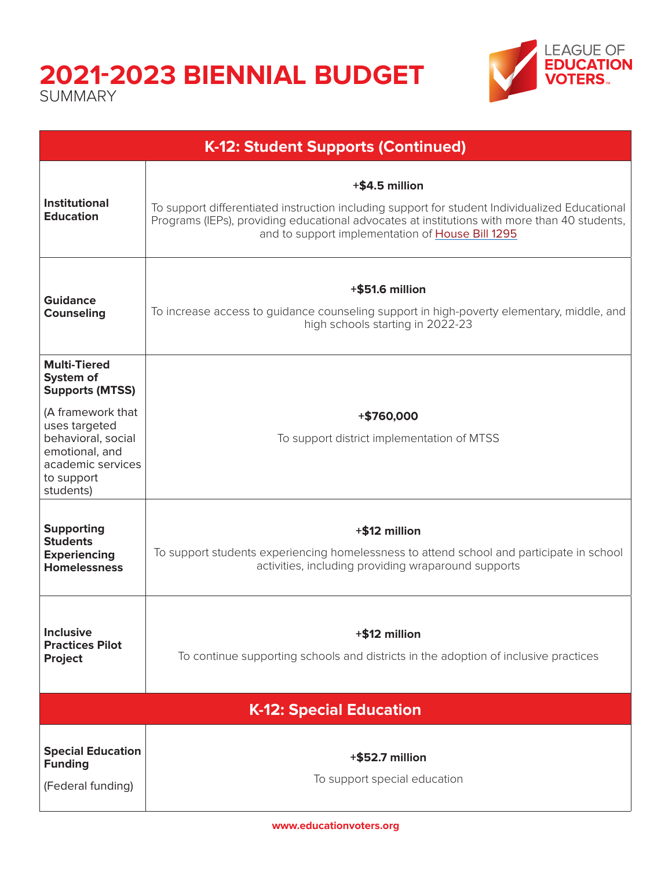# **2021-2023 BIENNIAL BUDGET**

**SUMMARY** 



| K-12: Student Supports (Continued)                                                                                                                                                       |                                                                                                                                                                                                                                                                      |  |
|------------------------------------------------------------------------------------------------------------------------------------------------------------------------------------------|----------------------------------------------------------------------------------------------------------------------------------------------------------------------------------------------------------------------------------------------------------------------|--|
| <b>Institutional</b><br><b>Education</b>                                                                                                                                                 | +\$4.5 million<br>To support differentiated instruction including support for student Individualized Educational<br>Programs (IEPs), providing educational advocates at institutions with more than 40 students,<br>and to support implementation of House Bill 1295 |  |
| <b>Guidance</b><br><b>Counseling</b>                                                                                                                                                     | +\$51.6 million<br>To increase access to guidance counseling support in high-poverty elementary, middle, and<br>high schools starting in 2022-23                                                                                                                     |  |
| <b>Multi-Tiered</b><br>System of<br><b>Supports (MTSS)</b><br>(A framework that<br>uses targeted<br>behavioral, social<br>emotional, and<br>academic services<br>to support<br>students) | +\$760,000<br>To support district implementation of MTSS                                                                                                                                                                                                             |  |
| <b>Supporting</b><br><b>Students</b><br><b>Experiencing</b><br><b>Homelessness</b>                                                                                                       | +\$12 million<br>To support students experiencing homelessness to attend school and participate in school<br>activities, including providing wraparound supports                                                                                                     |  |
| <b>Inclusive</b><br><b>Practices Pilot</b><br><b>Project</b>                                                                                                                             | +\$12 million<br>To continue supporting schools and districts in the adoption of inclusive practices                                                                                                                                                                 |  |
| <b>K-12: Special Education</b>                                                                                                                                                           |                                                                                                                                                                                                                                                                      |  |
| <b>Special Education</b><br><b>Funding</b><br>(Federal funding)                                                                                                                          | +\$52.7 million<br>To support special education                                                                                                                                                                                                                      |  |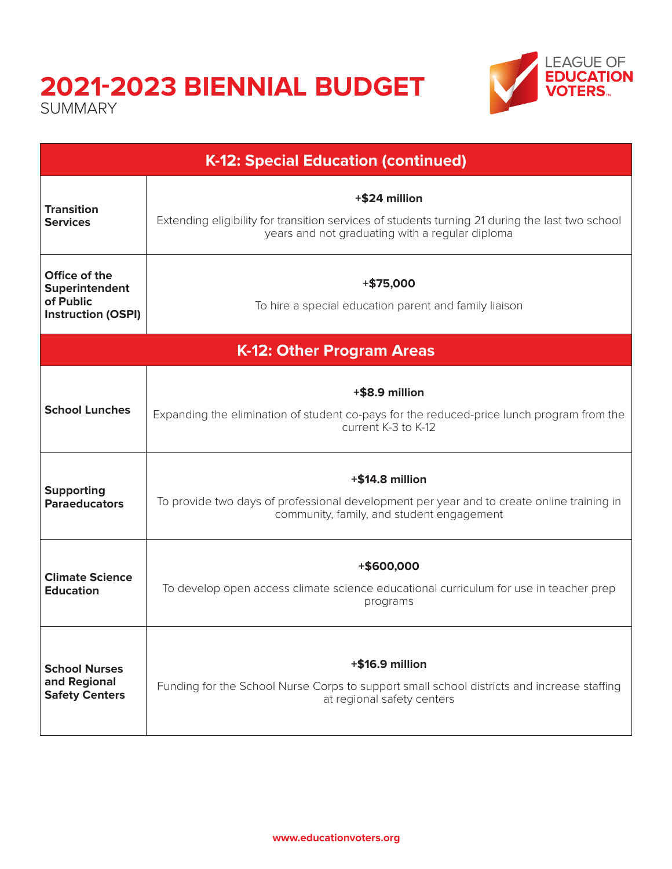## **2021-2023 BIENNIAL BUDGET**

SUMMARY



| <b>K-12: Special Education (continued)</b>                                |                                                                                                                                                                     |  |
|---------------------------------------------------------------------------|---------------------------------------------------------------------------------------------------------------------------------------------------------------------|--|
| <b>Transition</b><br><b>Services</b>                                      | +\$24 million<br>Extending eligibility for transition services of students turning 21 during the last two school<br>years and not graduating with a regular diploma |  |
| Office of the<br>Superintendent<br>of Public<br><b>Instruction (OSPI)</b> | $+ $75,000$<br>To hire a special education parent and family liaison                                                                                                |  |
| K-12: Other Program Areas                                                 |                                                                                                                                                                     |  |
| <b>School Lunches</b>                                                     | +\$8.9 million<br>Expanding the elimination of student co-pays for the reduced-price lunch program from the<br>current K-3 to K-12                                  |  |
| <b>Supporting</b><br><b>Paraeducators</b>                                 | $+$ \$14.8 million<br>To provide two days of professional development per year and to create online training in<br>community, family, and student engagement        |  |
| <b>Climate Science</b><br><b>Education</b>                                | +\$600,000<br>To develop open access climate science educational curriculum for use in teacher prep<br>programs                                                     |  |
| <b>School Nurses</b><br>and Regional<br><b>Safety Centers</b>             | +\$16.9 million<br>Funding for the School Nurse Corps to support small school districts and increase staffing<br>at regional safety centers                         |  |